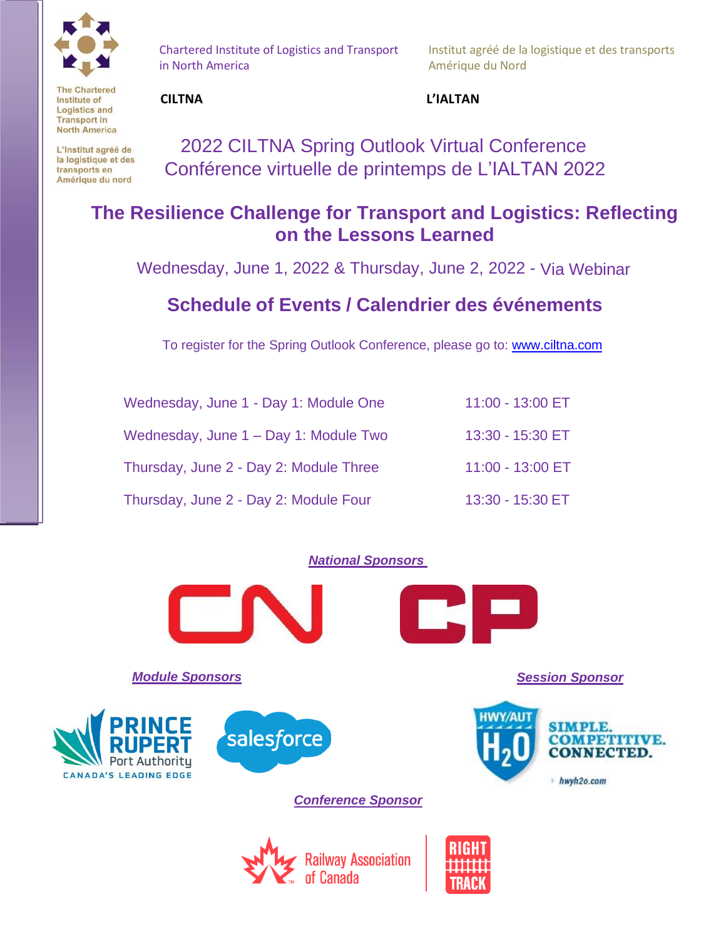

Chartered Institute of Logistics and Transport in North America

Institut agréé de la logistique et des transports Amérique du Nord

**The Chartered** Institute of **Logistics and Transport in North America** 

L'Institut agréé de la logistique et des transports en Amérique du nord

### **CILTNA L'IALTAN**

2022 CILTNA Spring Outlook Virtual Conference Conférence virtuelle de printemps de L'IALTAN 2022

## **The Resilience Challenge for Transport and Logistics: Reflecting on the Lessons Learned**

Wednesday, June 1, 2022 & Thursday, June 2, 2022 - Via Webinar

## **Schedule of Events / Calendrier des événements**

To register for the Spring Outlook Conference, please go to: [www.ciltna.com](https://ciltna.com/events/ciltna-virtual-fall-outlook-conference/)

| Wednesday, June 1 - Day 1: Module One  | 11:00 - 13:00 ET |
|----------------------------------------|------------------|
| Wednesday, June 1 - Day 1: Module Two  | 13:30 - 15:30 ET |
| Thursday, June 2 - Day 2: Module Three | 11:00 - 13:00 ET |
| Thursday, June 2 - Day 2: Module Four  | 13:30 - 15:30 ET |

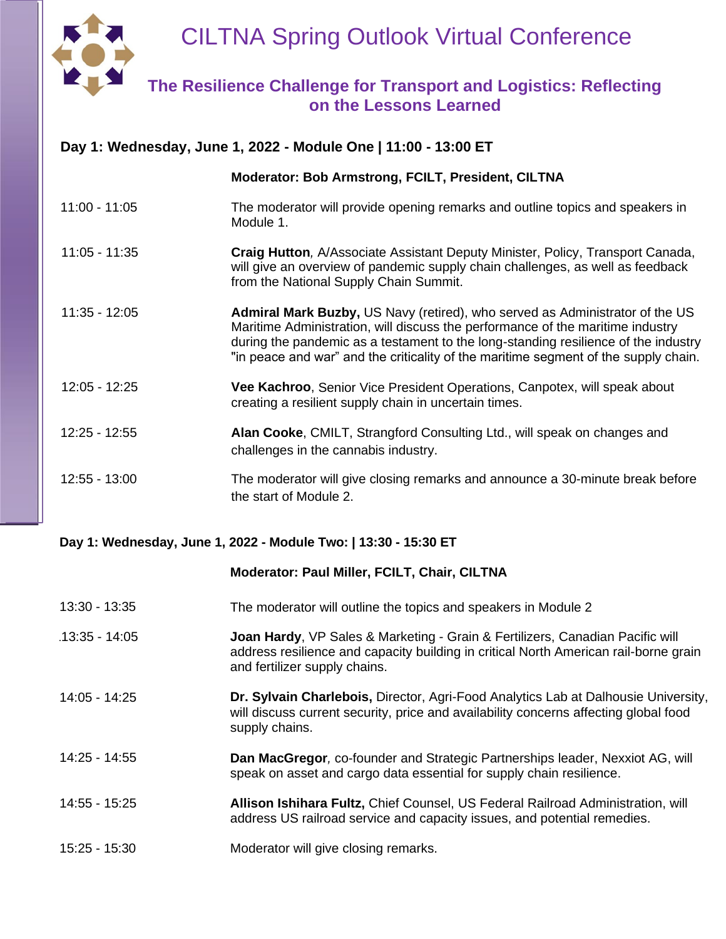

## CILTNA Spring Outlook Virtual Conference

### **The Resilience Challenge for Transport and Logistics: Reflecting on the Lessons Learned**

| Day 1: Wednesday, June 1, 2022 - Module One   11:00 - 13:00 ET |                                                                                                                                                                                                                                                                                                                                             |  |
|----------------------------------------------------------------|---------------------------------------------------------------------------------------------------------------------------------------------------------------------------------------------------------------------------------------------------------------------------------------------------------------------------------------------|--|
|                                                                | Moderator: Bob Armstrong, FCILT, President, CILTNA                                                                                                                                                                                                                                                                                          |  |
| $11:00 - 11:05$                                                | The moderator will provide opening remarks and outline topics and speakers in<br>Module 1.                                                                                                                                                                                                                                                  |  |
| $11:05 - 11:35$                                                | Craig Hutton, A/Associate Assistant Deputy Minister, Policy, Transport Canada,<br>will give an overview of pandemic supply chain challenges, as well as feedback<br>from the National Supply Chain Summit.                                                                                                                                  |  |
| $11:35 - 12:05$                                                | Admiral Mark Buzby, US Navy (retired), who served as Administrator of the US<br>Maritime Administration, will discuss the performance of the maritime industry<br>during the pandemic as a testament to the long-standing resilience of the industry<br>"in peace and war" and the criticality of the maritime segment of the supply chain. |  |
| 12:05 - 12:25                                                  | Vee Kachroo, Senior Vice President Operations, Canpotex, will speak about<br>creating a resilient supply chain in uncertain times.                                                                                                                                                                                                          |  |
| $12:25 - 12:55$                                                | Alan Cooke, CMILT, Strangford Consulting Ltd., will speak on changes and<br>challenges in the cannabis industry.                                                                                                                                                                                                                            |  |
| $12:55 - 13:00$                                                | The moderator will give closing remarks and announce a 30-minute break before<br>the start of Module 2.                                                                                                                                                                                                                                     |  |

#### **Day 1: Wednesday, June 1, 2022 - Module Two: | 13:30 - 15:30 ET**

#### **Moderator: Paul Miller, FCILT, Chair, CILTNA**

| 13:30 - 13:35 | The moderator will outline the topics and speakers in Module 2 |
|---------------|----------------------------------------------------------------|
|---------------|----------------------------------------------------------------|

- 13:35 14:05113:35 14:05 **Joan Hardy**, VP Sales & Marketing Grain & Fertilizers, Canadian Pacific will address resilience and capacity building in critical North American rail-borne grain and fertilizer supply chains.
- 14:05 14:25 **Dr. Sylvain Charlebois,** Director, Agri-Food Analytics Lab at Dalhousie University, will discuss current security, price and availability concerns affecting global food supply chains.
- 14:25 14:55 **Dan MacGregor***,* co-founder and Strategic Partnerships leader, Nexxiot AG, will speak on asset and cargo data essential for supply chain resilience.
- 14:55 15:25 **Allison Ishihara Fultz,** Chief Counsel, US Federal Railroad Administration, will address US railroad service and capacity issues, and potential remedies.
- 15:25 15:30 Moderator will give closing remarks.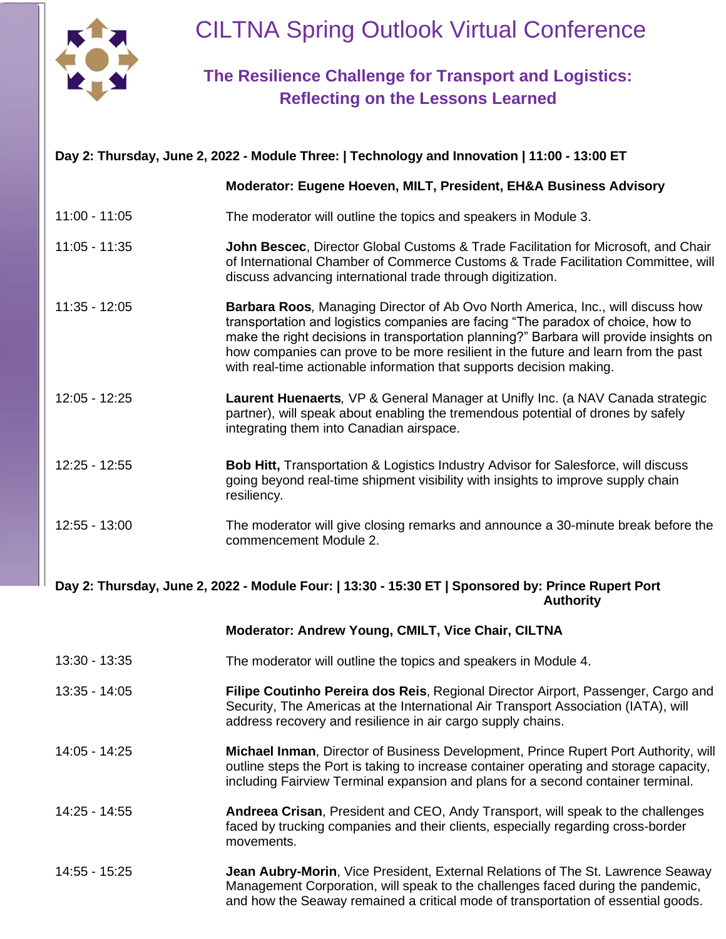

# CILTNA Spring Outlook Virtual Conference

## **The Resilience Challenge for Transport and Logistics: Reflecting on the Lessons Learned**

| Day 2: Thursday, June 2, 2022 - Module Three:   Technology and Innovation   11:00 - 13:00 ET                           |                                                                                                                                                                                                                                                                                                                                                                                                                                    |  |
|------------------------------------------------------------------------------------------------------------------------|------------------------------------------------------------------------------------------------------------------------------------------------------------------------------------------------------------------------------------------------------------------------------------------------------------------------------------------------------------------------------------------------------------------------------------|--|
|                                                                                                                        | Moderator: Eugene Hoeven, MILT, President, EH&A Business Advisory                                                                                                                                                                                                                                                                                                                                                                  |  |
| $11:00 - 11:05$                                                                                                        | The moderator will outline the topics and speakers in Module 3.                                                                                                                                                                                                                                                                                                                                                                    |  |
| $11:05 - 11:35$                                                                                                        | John Bescec, Director Global Customs & Trade Facilitation for Microsoft, and Chair<br>of International Chamber of Commerce Customs & Trade Facilitation Committee, will<br>discuss advancing international trade through digitization.                                                                                                                                                                                             |  |
| $11:35 - 12:05$                                                                                                        | <b>Barbara Roos, Managing Director of Ab Ovo North America, Inc., will discuss how</b><br>transportation and logistics companies are facing "The paradox of choice, how to<br>make the right decisions in transportation planning?" Barbara will provide insights on<br>how companies can prove to be more resilient in the future and learn from the past<br>with real-time actionable information that supports decision making. |  |
| $12:05 - 12:25$                                                                                                        | Laurent Huenaerts, VP & General Manager at Unifly Inc. (a NAV Canada strategic<br>partner), will speak about enabling the tremendous potential of drones by safely<br>integrating them into Canadian airspace.                                                                                                                                                                                                                     |  |
| $12:25 - 12:55$                                                                                                        | <b>Bob Hitt, Transportation &amp; Logistics Industry Advisor for Salesforce, will discuss</b><br>going beyond real-time shipment visibility with insights to improve supply chain<br>resiliency.                                                                                                                                                                                                                                   |  |
| 12:55 - 13:00                                                                                                          | The moderator will give closing remarks and announce a 30-minute break before the<br>commencement Module 2.                                                                                                                                                                                                                                                                                                                        |  |
| Day 2: Thursday, June 2, 2022 - Module Four:   13:30 - 15:30 ET   Sponsored by: Prince Rupert Port<br><b>Authority</b> |                                                                                                                                                                                                                                                                                                                                                                                                                                    |  |
|                                                                                                                        | Moderator: Andrew Young, CMILT, Vice Chair, CILTNA                                                                                                                                                                                                                                                                                                                                                                                 |  |
| 13:30 - 13:35                                                                                                          | The moderator will outline the topics and speakers in Module 4.                                                                                                                                                                                                                                                                                                                                                                    |  |
| $13:35 - 14:05$                                                                                                        | Filipe Coutinho Pereira dos Reis, Regional Director Airport, Passenger, Cargo and<br>Security, The Americas at the International Air Transport Association (IATA), will<br>address recovery and resilience in air cargo supply chains.                                                                                                                                                                                             |  |
| 14:05 - 14:25                                                                                                          | Michael Inman, Director of Business Development, Prince Rupert Port Authority, will<br>outline steps the Port is taking to increase container operating and storage capacity,<br>including Fairview Terminal expansion and plans for a second container terminal.                                                                                                                                                                  |  |
| 14:25 - 14:55                                                                                                          | Andreea Crisan, President and CEO, Andy Transport, will speak to the challenges<br>faced by trucking companies and their clients, especially regarding cross-border<br>movements.                                                                                                                                                                                                                                                  |  |
| 14:55 - 15:25                                                                                                          | <b>Jean Aubry-Morin, Vice President, External Relations of The St. Lawrence Seaway</b><br>Management Corporation, will speak to the challenges faced during the pandemic,                                                                                                                                                                                                                                                          |  |

and how the Seaway remained a critical mode of transportation of essential goods.